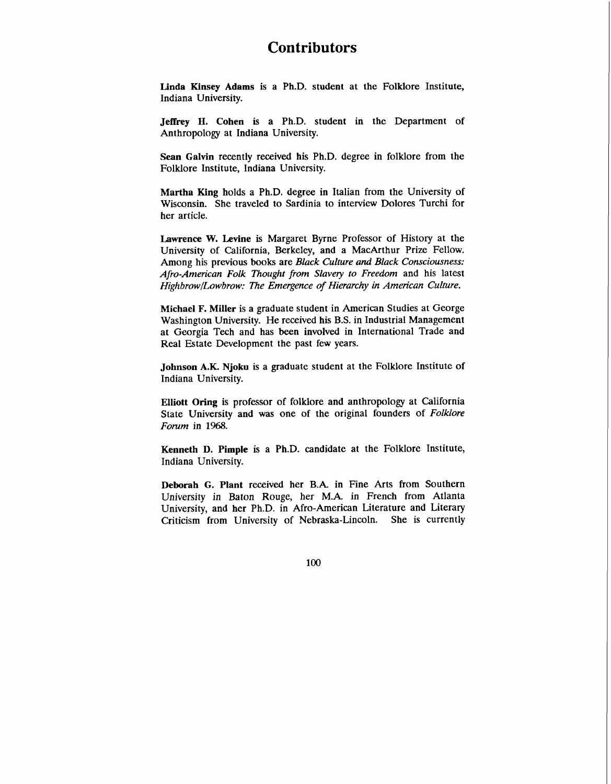## **Contributors**

**Linda Kinsey Adams** is a Ph.D. student at the Folklore Institute, Indiana University.

**Jeffrey H. Cohen** is a Ph.D. student in the Department of Anthropology at Indiana University.

**Sean Galvin** recently received his Ph.D. degree in folklore from the Folklore Institute, Indiana University.

**Martha King** holds a Ph.D. degree in Italian from the University of Wisconsin. She traveled to Sardinia to interview Dolores Turchi for her article.

**Lawrence W. Levine** is Margaret Byrne Professor of History at the University of California, Berkeley, and a MacArthur Prize Fellow. Among his previous books are *Black Culture and Black Consciousness: Afro-American Folk Thought from Slavery to Freedom* and his latest *HighbrowlLowbrow: The Emergence* of *Hierarchy in American Culture.* 

**Michael F. Miller** is a graduate student in American Studies at George Washington University. He received his B.S. in Industrial Management at Georgia Tech and has been involved in International Trade and Real Estate Development the past few years.

**Johnson A.K. Njoku** is a graduate student at the Folklore Institute of Indiana University.

**Elliott Oring** is professor of folklore and anthropology at California State University and was one of the original founders of *Folklore Forum* in 1968.

**Kenneth D. Pimple** is a Ph.D. candidate at the Folklore Institute, Indiana University.

**Deborah G. Plant** received her B.A. in Fine Arts from Southern University in Baton Rouge, her M.A. in French from Atlanta University, and her Ph.D. in Afro-American Literature and Literary Criticism from University of Nebraska-Lincoln. She is currently